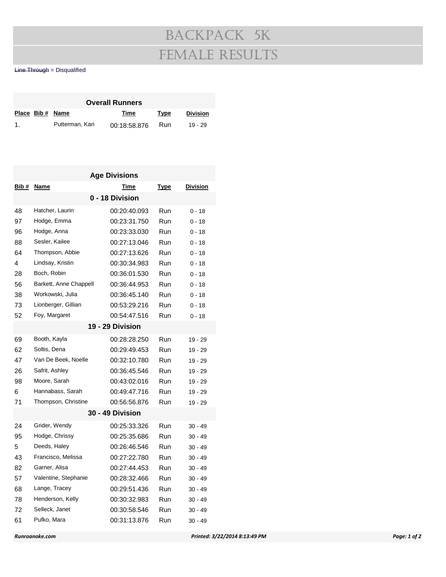## Backpack 5k Female Results

Line Through = Disqualified

| <b>Overall Runners</b> |  |                 |              |      |                 |  |  |  |  |
|------------------------|--|-----------------|--------------|------|-----------------|--|--|--|--|
|                        |  | Place Bib# Name | Time         | Type | <b>Division</b> |  |  |  |  |
| $\mathbf{1}$ .         |  | Putterman, Kari | 00:18:58.876 | Run  | $19 - 29$       |  |  |  |  |

| <b>Age Divisions</b> |                        |                  |             |                 |  |  |  |  |
|----------------------|------------------------|------------------|-------------|-----------------|--|--|--|--|
| Bib #                | <b>Name</b>            | Time             | <u>Type</u> | <b>Division</b> |  |  |  |  |
| 0 - 18 Division      |                        |                  |             |                 |  |  |  |  |
| 48                   | Hatcher, Laurin        | 00:20:40.093     | Run         | $0 - 18$        |  |  |  |  |
| 97                   | Hodge, Emma            | 00:23:31.750     | Run         | $0 - 18$        |  |  |  |  |
| 96                   | Hodge, Anna            | 00:23:33.030     | Run         | $0 - 18$        |  |  |  |  |
| 88                   | Sesler, Kailee         | 00:27:13.046     | Run         | $0 - 18$        |  |  |  |  |
| 64                   | Thompson, Abbie        | 00:27:13.626     | Run         | $0 - 18$        |  |  |  |  |
| 4                    | Lindsay, Kristin       | 00:30:34.983     | Run         | $0 - 18$        |  |  |  |  |
| 28                   | Boch, Robin            | 00:36:01.530     | Run         | $0 - 18$        |  |  |  |  |
| 56                   | Barkett, Anne Chappell | 00:36:44.953     | Run         | $0 - 18$        |  |  |  |  |
| 38                   | Workowski, Julia       | 00:36:45.140     | Run         | $0 - 18$        |  |  |  |  |
| 73                   | Lionberger, Gillian    | 00:53:29.216     | Run         | $0 - 18$        |  |  |  |  |
| 52                   | Foy, Margaret          | 00:54:47.516     | Run         | $0 - 18$        |  |  |  |  |
|                      |                        | 19 - 29 Division |             |                 |  |  |  |  |
| 69                   | Booth, Kayla           | 00:28:28.250     | Run         | 19 - 29         |  |  |  |  |
| 62                   | Soltis, Dena           | 00:29:49.453     | Run         | $19 - 29$       |  |  |  |  |
| 47                   | Van De Beek, Noelle    | 00:32:10.780     | Run         | 19 - 29         |  |  |  |  |
| 26                   | Safrit, Ashley         | 00:36:45.546     | Run         | 19 - 29         |  |  |  |  |
| 98                   | Moore, Sarah           | 00:43:02.016     | Run         | $19 - 29$       |  |  |  |  |
| 6                    | Hannabass, Sarah       | 00:49:47.716     | Run         | 19 - 29         |  |  |  |  |
| 71                   | Thompson, Christine    | 00:56:56.876     | Run         | 19 - 29         |  |  |  |  |
| 30 - 49 Division     |                        |                  |             |                 |  |  |  |  |
| 24                   | Grider, Wendy          | 00:25:33.326     | Run         | $30 - 49$       |  |  |  |  |
| 95                   | Hodge, Chrissy         | 00:25:35.686     | Run         | $30 - 49$       |  |  |  |  |
| 5                    | Deeds, Haley           | 00:26:46.546     | Run         | $30 - 49$       |  |  |  |  |
| 43                   | Francisco, Melissa     | 00:27:22.780     | Run         | $30 - 49$       |  |  |  |  |
| 82                   | Garner, Alisa          | 00:27:44.453     | Run         | $30 - 49$       |  |  |  |  |
| 57                   | Valentine, Stephanie   | 00:28:32.466     | Run         | $30 - 49$       |  |  |  |  |
| 68                   | Lange, Tracey          | 00:29:51.436     | Run         | $30 - 49$       |  |  |  |  |
| 78                   | Henderson, Kelly       | 00:30:32.983     | Run         | $30 - 49$       |  |  |  |  |
| 72                   | Selleck, Janet         | 00:30:58.546     | Run         | $30 - 49$       |  |  |  |  |
| 61                   | Pufko, Mara            | 00:31:13.876     | Run         | $30 - 49$       |  |  |  |  |
|                      |                        |                  |             |                 |  |  |  |  |